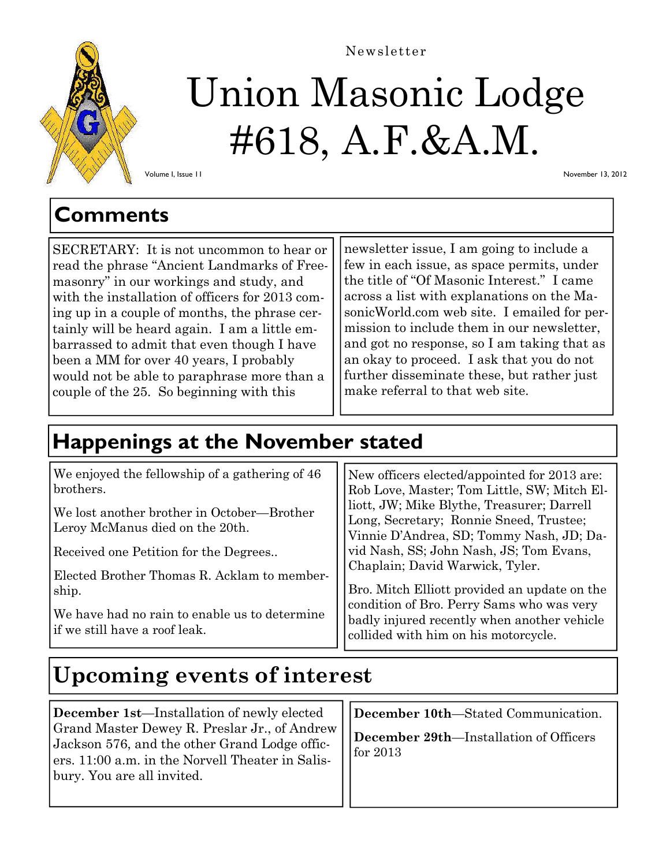

# Union Masonic Lodge #618, A.F.&A.M. Newsletter

November 13, 2012

Volume I, Issue 11

### **Comments**

SECRETARY: It is not uncommon to hear or read the phrase "Ancient Landmarks of Freemasonry" in our workings and study, and with the installation of officers for 2013 coming up in a couple of months, the phrase certainly will be heard again. I am a little embarrassed to admit that even though I have been a MM for over 40 years, I probably would not be able to paraphrase more than a couple of the 25. So beginning with this

newsletter issue, I am going to include a few in each issue, as space permits, under the title of "Of Masonic Interest." I came across a list with explanations on the MasonicWorld.com web site. I emailed for permission to include them in our newsletter, and got no response, so I am taking that as an okay to proceed. I ask that you do not further disseminate these, but rather just make referral to that web site.

# **Happenings at the November stated**

| We enjoyed the fellowship of a gathering of 46                                 | New officers elected/appointed for 2013 are:                                                                                      |
|--------------------------------------------------------------------------------|-----------------------------------------------------------------------------------------------------------------------------------|
| brothers.                                                                      | Rob Love, Master; Tom Little, SW; Mitch El-                                                                                       |
| We lost another brother in October—Brother<br>Leroy McManus died on the 20th.  | liott, JW; Mike Blythe, Treasurer; Darrell<br>Long, Secretary; Ronnie Sneed, Trustee;<br>Vinnie D'Andrea, SD; Tommy Nash, JD; Da- |
| Received one Petition for the Degrees                                          | vid Nash, SS; John Nash, JS; Tom Evans,                                                                                           |
| Elected Brother Thomas R. Acklam to member-                                    | Chaplain; David Warwick, Tyler.                                                                                                   |
| ship.                                                                          | Bro. Mitch Elliott provided an update on the                                                                                      |
| We have had no rain to enable us to determine<br>if we still have a roof leak. | condition of Bro. Perry Sams who was very<br>badly injured recently when another vehicle<br>collided with him on his motorcycle.  |

# **Upcoming events of interest**

**December 1st**—Installation of newly elected Grand Master Dewey R. Preslar Jr., of Andrew Jackson 576, and the other Grand Lodge officers. 11:00 a.m. in the Norvell Theater in Salisbury. You are all invited.

**December 10th**—Stated Communication.

**December 29th**—Installation of Officers for 2013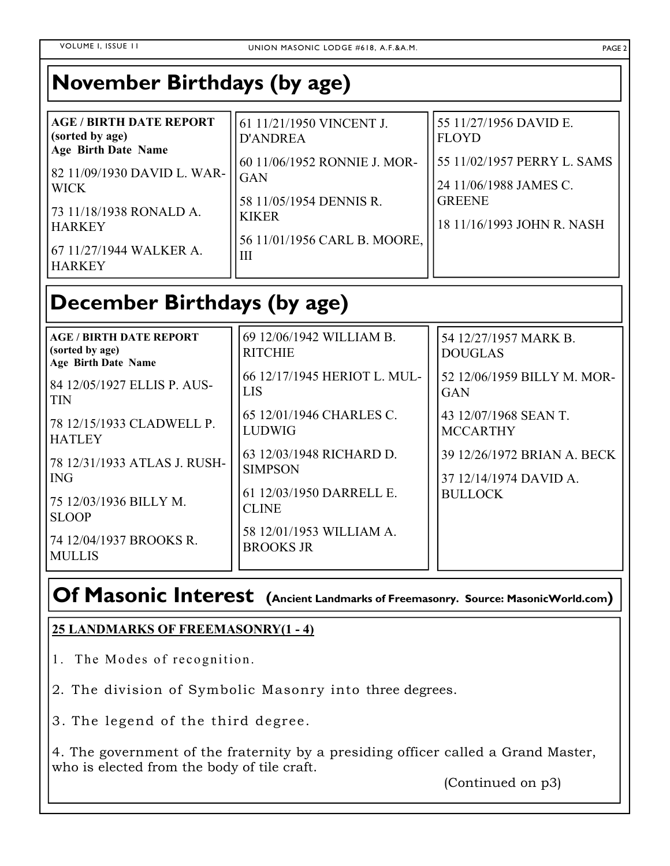### **November Birthdays (by age)**

| <b>AGE / BIRTH DATE REPORT</b><br>(sorted by age)<br><b>Age Birth Date Name</b><br>  82 11/09/1930 DAVID L. WAR-  <br><b>WICK</b> | 61 11/21/1950 VINCENT J.<br><b>D'ANDREA</b><br>60 11/06/1952 RONNIE J. MOR-<br><b>GAN</b><br>58 11/05/1954 DENNIS R.<br><b>KIKER</b><br>56 11/01/1956 CARL B. MOORE,<br>Ш | 55 11/27/1956 DAVID E.<br><b>FLOYD</b><br>55 11/02/1957 PERRY L. SAMS<br>24 11/06/1988 JAMES C. |
|-----------------------------------------------------------------------------------------------------------------------------------|---------------------------------------------------------------------------------------------------------------------------------------------------------------------------|-------------------------------------------------------------------------------------------------|
| 73 11/18/1938 RONALD A.<br><b>HARKEY</b><br>67 11/27/1944 WALKER A.<br><b>HARKEY</b>                                              |                                                                                                                                                                           | <b>GREENE</b><br>18 11/16/1993 JOHN R. NASH                                                     |

# **December Birthdays (by age)**

| <b>AGE / BIRTH DATE REPORT</b><br>(sorted by age)<br><b>Age Birth Date Name</b> | 69 12/06/1942 WILLIAM B.<br><b>RITCHIE</b>   | 54 12/27/1957 MARK B.<br><b>DOUGLAS</b> |
|---------------------------------------------------------------------------------|----------------------------------------------|-----------------------------------------|
| 84 12/05/1927 ELLIS P. AUS-                                                     | 66 12/17/1945 HERIOT L. MUL-                 | 52 12/06/1959 BILLY M. MOR-             |
| <b>TIN</b>                                                                      | LIS                                          | <b>GAN</b>                              |
| 78 12/15/1933 CLADWELL P.                                                       | 65 12/01/1946 CHARLES C.                     | 43 12/07/1968 SEAN T.                   |
| <b>HATLEY</b>                                                                   | <b>LUDWIG</b>                                | <b>MCCARTHY</b>                         |
| 78 12/31/1933 ATLAS J. RUSH-                                                    | 63 12/03/1948 RICHARD D.                     | 39 12/26/1972 BRIAN A. BECK             |
| ING.                                                                            | <b>SIMPSON</b>                               | 37 12/14/1974 DAVID A.                  |
| 75 12/03/1936 BILLY M.<br><b>SLOOP</b>                                          | 61 12/03/1950 DARRELL E.<br><b>CLINE</b>     | <b>BULLOCK</b>                          |
| 74 12/04/1937 BROOKS R.<br><b>MULLIS</b>                                        | 58 12/01/1953 WILLIAM A.<br><b>BROOKS JR</b> |                                         |

### **Of Masonic Interest (Ancient Landmarks of Freemasonry. Source: MasonicWorld.com)**

#### **25 LANDMARKS OF FREEMASONRY(1 - 4)**

- 1. The Modes of recognition.
- 2. The division of Symbolic Masonry into three degrees.
- 3. The legend of the third degree.

4. The government of the fraternity by a presiding officer called a Grand Master, who is elected from the body of tile craft.

(Continued on p3)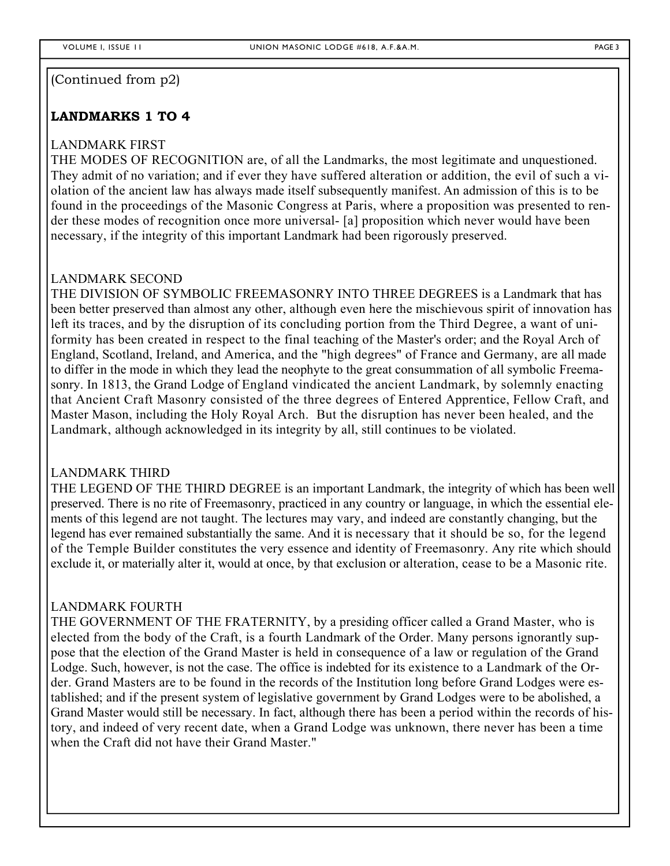#### (Continued from p2)

#### **LANDMARKS 1 TO 4**

#### LANDMARK FIRST

THE MODES OF RECOGNITION are, of all the Landmarks, the most legitimate and unquestioned. They admit of no variation; and if ever they have suffered alteration or addition, the evil of such a violation of the ancient law has always made itself subsequently manifest. An admission of this is to be found in the proceedings of the Masonic Congress at Paris, where a proposition was presented to render these modes of recognition once more universal- [a] proposition which never would have been necessary, if the integrity of this important Landmark had been rigorously preserved.

#### LANDMARK SECOND

THE DIVISION OF SYMBOLIC FREEMASONRY INTO THREE DEGREES is a Landmark that has been better preserved than almost any other, although even here the mischievous spirit of innovation has left its traces, and by the disruption of its concluding portion from the Third Degree, a want of uniformity has been created in respect to the final teaching of the Master's order; and the Royal Arch of England, Scotland, Ireland, and America, and the "high degrees" of France and Germany, are all made to differ in the mode in which they lead the neophyte to the great consummation of all symbolic Freemasonry. In 1813, the Grand Lodge of England vindicated the ancient Landmark, by solemnly enacting that Ancient Craft Masonry consisted of the three degrees of Entered Apprentice, Fellow Craft, and Master Mason, including the Holy Royal Arch. But the disruption has never been healed, and the Landmark, although acknowledged in its integrity by all, still continues to be violated.

#### LANDMARK THIRD

THE LEGEND OF THE THIRD DEGREE is an important Landmark, the integrity of which has been well preserved. There is no rite of Freemasonry, practiced in any country or language, in which the essential elements of this legend are not taught. The lectures may vary, and indeed are constantly changing, but the legend has ever remained substantially the same. And it is necessary that it should be so, for the legend of the Temple Builder constitutes the very essence and identity of Freemasonry. Any rite which should exclude it, or materially alter it, would at once, by that exclusion or alteration, cease to be a Masonic rite.

#### LANDMARK FOURTH

THE GOVERNMENT OF THE FRATERNITY, by a presiding officer called a Grand Master, who is elected from the body of the Craft, is a fourth Landmark of the Order. Many persons ignorantly suppose that the election of the Grand Master is held in consequence of a law or regulation of the Grand Lodge. Such, however, is not the case. The office is indebted for its existence to a Landmark of the Order. Grand Masters are to be found in the records of the Institution long before Grand Lodges were established; and if the present system of legislative government by Grand Lodges were to be abolished, a Grand Master would still be necessary. In fact, although there has been a period within the records of history, and indeed of very recent date, when a Grand Lodge was unknown, there never has been a time when the Craft did not have their Grand Master."